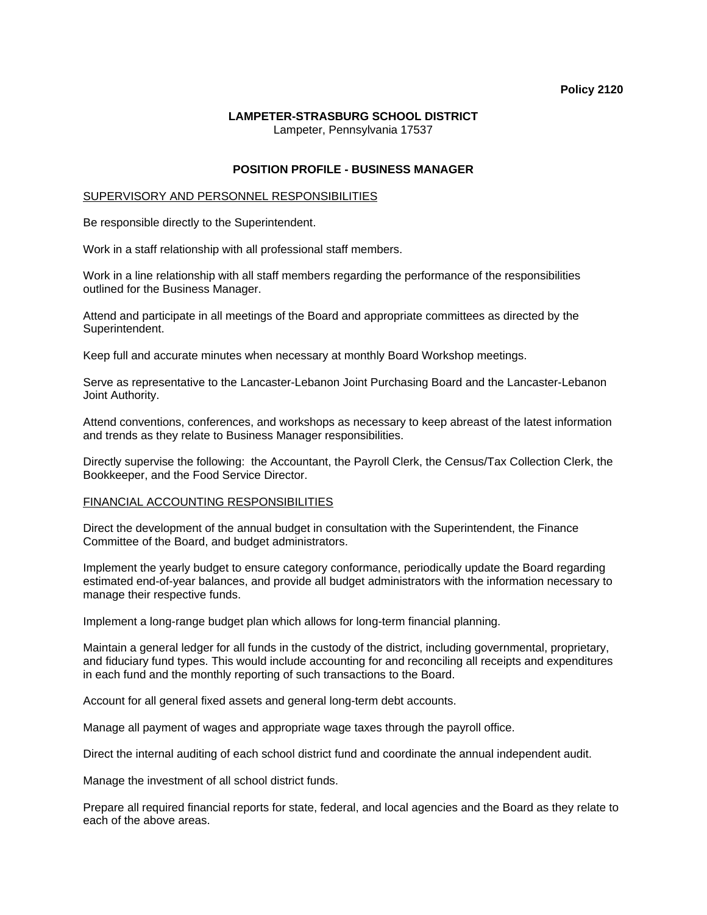#### **Policy 2120**

## **LAMPETER-STRASBURG SCHOOL DISTRICT**  Lampeter, Pennsylvania 17537

# **POSITION PROFILE - BUSINESS MANAGER**

### SUPERVISORY AND PERSONNEL RESPONSIBILITIES

Be responsible directly to the Superintendent.

Work in a staff relationship with all professional staff members.

Work in a line relationship with all staff members regarding the performance of the responsibilities outlined for the Business Manager.

Attend and participate in all meetings of the Board and appropriate committees as directed by the Superintendent.

Keep full and accurate minutes when necessary at monthly Board Workshop meetings.

Serve as representative to the Lancaster-Lebanon Joint Purchasing Board and the Lancaster-Lebanon Joint Authority.

Attend conventions, conferences, and workshops as necessary to keep abreast of the latest information and trends as they relate to Business Manager responsibilities.

Directly supervise the following: the Accountant, the Payroll Clerk, the Census/Tax Collection Clerk, the Bookkeeper, and the Food Service Director.

## FINANCIAL ACCOUNTING RESPONSIBILITIES

Direct the development of the annual budget in consultation with the Superintendent, the Finance Committee of the Board, and budget administrators.

Implement the yearly budget to ensure category conformance, periodically update the Board regarding estimated end-of-year balances, and provide all budget administrators with the information necessary to manage their respective funds.

Implement a long-range budget plan which allows for long-term financial planning.

Maintain a general ledger for all funds in the custody of the district, including governmental, proprietary, and fiduciary fund types. This would include accounting for and reconciling all receipts and expenditures in each fund and the monthly reporting of such transactions to the Board.

Account for all general fixed assets and general long-term debt accounts.

Manage all payment of wages and appropriate wage taxes through the payroll office.

Direct the internal auditing of each school district fund and coordinate the annual independent audit.

Manage the investment of all school district funds.

Prepare all required financial reports for state, federal, and local agencies and the Board as they relate to each of the above areas.